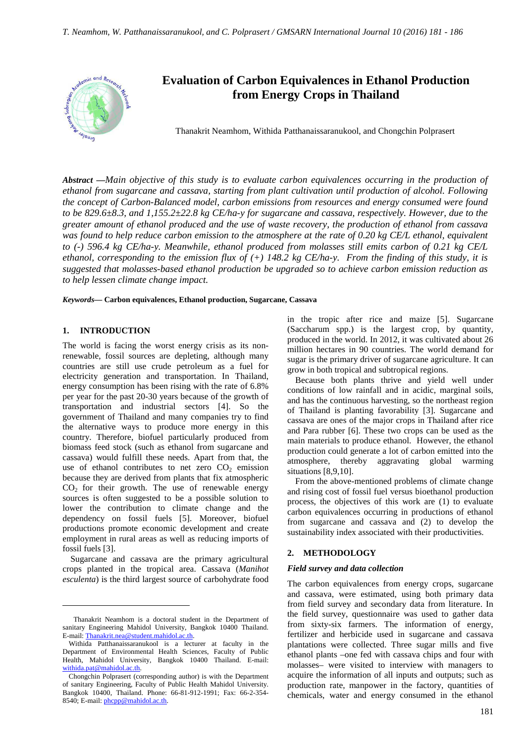

# **Evaluation of Carbon Equivalences in Ethanol Production from Energy Crops in Thailand**

Thanakrit Neamhom, Withida Patthanaissaranukool, and Chongchin Polprasert

*Abstract* **—***Main objective of this study is to evaluate carbon equivalences occurring in the production of ethanol from sugarcane and cassava, starting from plant cultivation until production of alcohol. Following the concept of Carbon-Balanced model, carbon emissions from resources and energy consumed were found to be 829.6±8.3, and 1,155.2±22.8 kg CE/ha-y for sugarcane and cassava, respectively. However, due to the greater amount of ethanol produced and the use of waste recovery, the production of ethanol from cassava was found to help reduce carbon emission to the atmosphere at the rate of 0.20 kg CE/L ethanol, equivalent to (-) 596.4 kg CE/ha-y. Meanwhile, ethanol produced from molasses still emits carbon of 0.21 kg CE/L ethanol, corresponding to the emission flux of (+) 148.2 kg CE/ha-y. From the finding of this study, it is suggested that molasses-based ethanol production be upgraded so to achieve carbon emission reduction as to help lessen climate change impact.* 

*Keywords***— Carbon equivalences, Ethanol production, Sugarcane, Cassava**

# **1. INTRODUCTION**

 $\overline{a}$ 

The world is facing the worst energy crisis as its nonrenewable, fossil sources are depleting, although many countries are still use crude petroleum as a fuel for electricity generation and transportation. In Thailand, energy consumption has been rising with the rate of 6.8% per year for the past 20-30 years because of the growth of transportation and industrial sectors [4]. So the government of Thailand and many companies try to find the alternative ways to produce more energy in this country. Therefore, biofuel particularly produced from biomass feed stock (such as ethanol from sugarcane and cassava) would fulfill these needs. Apart from that, the use of ethanol contributes to net zero  $CO<sub>2</sub>$  emission because they are derived from plants that fix atmospheric  $CO<sub>2</sub>$  for their growth. The use of renewable energy sources is often suggested to be a possible solution to lower the contribution to climate change and the dependency on fossil fuels [5]. Moreover, biofuel productions promote economic development and create employment in rural areas as well as reducing imports of fossil fuels [3].

Sugarcane and cassava are the primary agricultural crops planted in the tropical area. Cassava (*Manihot esculenta*) is the third largest source of carbohydrate food in the tropic after rice and maize [5]. Sugarcane (Saccharum spp.) is the largest crop, by quantity, produced in the world. In 2012, it was cultivated about 26 million hectares in 90 countries. The world demand for sugar is the primary driver of sugarcane agriculture. It can grow in both tropical and subtropical regions.

Because both plants thrive and yield well under conditions of low rainfall and in acidic, marginal soils, and has the continuous harvesting, so the northeast region of Thailand is planting favorability [3]. Sugarcane and cassava are ones of the major crops in Thailand after rice and Para rubber [6]. These two crops can be used as the main materials to produce ethanol. However, the ethanol production could generate a lot of carbon emitted into the atmosphere, thereby aggravating global warming situations [8,9,10].

From the above-mentioned problems of climate change and rising cost of fossil fuel versus bioethanol production process, the objectives of this work are (1) to evaluate carbon equivalences occurring in productions of ethanol from sugarcane and cassava and (2) to develop the sustainability index associated with their productivities.

## **2. METHODOLOGY**

#### *Field survey and data collection*

The carbon equivalences from energy crops, sugarcane and cassava, were estimated, using both primary data from field survey and secondary data from literature. In the field survey, questionnaire was used to gather data from sixty-six farmers. The information of energy, fertilizer and herbicide used in sugarcane and cassava plantations were collected. Three sugar mills and five ethanol plants –one fed with cassava chips and four with molasses– were visited to interview with managers to acquire the information of all inputs and outputs; such as production rate, manpower in the factory, quantities of chemicals, water and energy consumed in the ethanol

Thanakrit Neamhom is a doctoral student in the Department of sanitary Engineering Mahidol University, Bangkok 10400 Thailand. E-mail: Thanakrit.nea@student.mahidol.ac.th.

Withida Patthanaissaranukool is a lecturer at faculty in the Department of Environmental Health Sciences, Faculty of Public Health, Mahidol University, Bangkok 10400 Thailand. E-mail: withida.pat@mahidol.ac.th.

Chongchin Polprasert (corresponding author) is with the Department of sanitary Engineering, Faculty of Public Health Mahidol University. Bangkok 10400, Thailand. Phone: 66-81-912-1991; Fax: 66-2-354- 8540; E-mail: phcpp@mahidol.ac.th.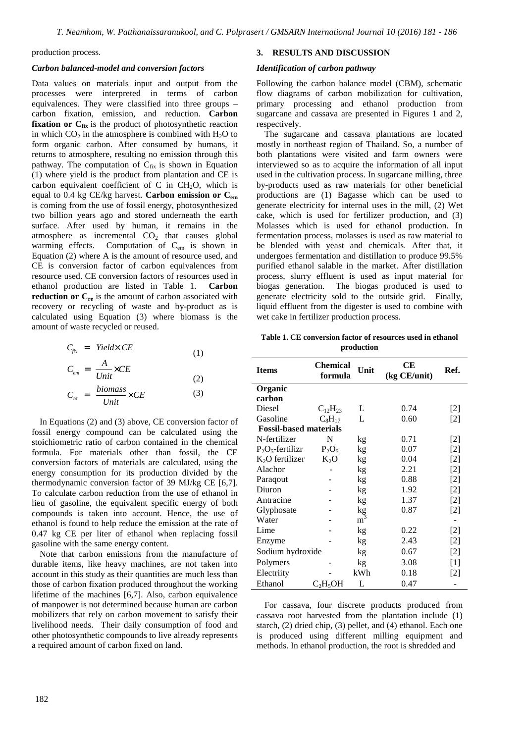production process.

#### *Carbon balanced-model and conversion factors*

Data values on materials input and output from the processes were interpreted in terms of carbon equivalences. They were classified into three groups – carbon fixation, emission, and reduction. **Carbon fixation or C<sub>fix</sub>** is the product of photosynthetic reaction in which  $CO<sub>2</sub>$  in the atmosphere is combined with  $H<sub>2</sub>O$  to form organic carbon. After consumed by humans, it returns to atmosphere, resulting no emission through this pathway. The computation of  $C_{fix}$  is shown in Equation (1) where yield is the product from plantation and CE is carbon equivalent coefficient of C in  $CH<sub>2</sub>O$ , which is equal to 0.4 kg CE/kg harvest. **Carbon emission or Cem**  is coming from the use of fossil energy, photosynthesized two billion years ago and stored underneath the earth surface. After used by human, it remains in the atmosphere as incremental  $CO<sub>2</sub>$  that causes global warming effects. Computation of C<sub>em</sub> is shown in Equation (2) where A is the amount of resource used, and CE is conversion factor of carbon equivalences from resource used. CE conversion factors of resources used in ethanol production are listed in Table 1. **Carbon reduction or C<sub>re</sub>** is the amount of carbon associated with recovery or recycling of waste and by-product as is calculated using Equation (3) where biomass is the amount of waste recycled or reused.

$$
C_{fix} = Yield \times CE
$$
\n
$$
C_{em} = \frac{A}{Unit} \times CE
$$
\n
$$
C_{em} = \frac{1}{Unit} \times CE
$$
\n
$$
1)
$$
\n
$$
1
$$
\n
$$
1
$$
\n
$$
1
$$
\n
$$
1
$$
\n
$$
1
$$
\n
$$
1
$$
\n
$$
1
$$
\n
$$
1
$$
\n
$$
1
$$
\n
$$
1
$$
\n
$$
1
$$
\n
$$
1
$$
\n
$$
1
$$
\n
$$
1
$$
\n
$$
1
$$
\n
$$
1
$$
\n
$$
1
$$
\n
$$
1
$$
\n
$$
1
$$
\n
$$
1
$$
\n
$$
1
$$
\n
$$
1
$$
\n
$$
1
$$
\n
$$
1
$$
\n
$$
1
$$
\n
$$
1
$$
\n
$$
1
$$
\n
$$
1
$$
\n
$$
1
$$
\n
$$
1
$$
\n
$$
1
$$
\n
$$
1
$$
\n
$$
1
$$
\n
$$
1
$$
\n
$$
1
$$
\n
$$
1
$$
\n
$$
1
$$
\n
$$
1
$$
\n
$$
1
$$
\n
$$
1
$$
\n
$$
1
$$
\n
$$
1
$$
\n
$$
1
$$
\n
$$
1
$$
\n
$$
1
$$
\n
$$
1
$$
\n
$$
1
$$
\n
$$
1
$$
\n
$$
1
$$
\n
$$
1
$$
\n
$$
1
$$
\n
$$
1
$$
\n
$$
1
$$
\n
$$
1
$$
\n
$$
1
$$
\n
$$
1
$$
\n
$$
1
$$
\n
$$
1
$$
\n
$$
1
$$
\n
$$
1
$$
\n
$$
1
$$
\n
$$
1
$$
\n $$ 

$$
C_{re} = \frac{biomass}{Unit} \times CE \tag{3}
$$

In Equations (2) and (3) above, CE conversion factor of fossil energy compound can be calculated using the stoichiometric ratio of carbon contained in the chemical formula. For materials other than fossil, the CE conversion factors of materials are calculated, using the energy consumption for its production divided by the thermodynamic conversion factor of 39 MJ/kg CE [6,7]. To calculate carbon reduction from the use of ethanol in lieu of gasoline, the equivalent specific energy of both compounds is taken into account. Hence, the use of ethanol is found to help reduce the emission at the rate of 0.47 kg CE per liter of ethanol when replacing fossil gasoline with the same energy content.

Note that carbon emissions from the manufacture of durable items, like heavy machines, are not taken into account in this study as their quantities are much less than those of carbon fixation produced throughout the working lifetime of the machines [6,7]. Also, carbon equivalence of manpower is not determined because human are carbon mobilizers that rely on carbon movement to satisfy their livelihood needs. Their daily consumption of food and other photosynthetic compounds to live already represents a required amount of carbon fixed on land.

## **3. RESULTS AND DISCUSSION**

### *Identification of carbon pathway*

Following the carbon balance model (CBM), schematic flow diagrams of carbon mobilization for cultivation, primary processing and ethanol production from sugarcane and cassava are presented in Figures 1 and 2. respectively.

The sugarcane and cassava plantations are located mostly in northeast region of Thailand. So, a number of both plantations were visited and farm owners were interviewed so as to acquire the information of all input used in the cultivation process. In sugarcane milling, three by-products used as raw materials for other beneficial productions are (1) Bagasse which can be used to generate electricity for internal uses in the mill, (2) Wet cake, which is used for fertilizer production, and (3) Molasses which is used for ethanol production. In fermentation process, molasses is used as raw material to be blended with yeast and chemicals. After that, it undergoes fermentation and distillation to produce 99.5% purified ethanol salable in the market. After distillation process, slurry effluent is used as input material for biogas generation. The biogas produced is used to generate electricity sold to the outside grid. Finally, liquid effluent from the digester is used to combine with wet cake in fertilizer production process.

**Table 1. CE conversion factor of resources used in ethanol production**

| <b>Items</b>                  | <b>Chemical</b><br>formula | Unit           | CЕ<br>(kg CE/unit) | Ref.              |  |  |
|-------------------------------|----------------------------|----------------|--------------------|-------------------|--|--|
| Organic                       |                            |                |                    |                   |  |  |
| carbon                        |                            |                |                    |                   |  |  |
| Diesel                        | $C_{12}H_{23}$             | L              | 0.74               | $[2]$             |  |  |
| Gasoline                      | $C_8H_{17}$                | L              | 0.60               | $[2]$             |  |  |
| <b>Fossil-based materials</b> |                            |                |                    |                   |  |  |
| N-fertilizer                  | N                          | kg             | 0.71               | $[2]$             |  |  |
| $P_2O_5$ -fertilizr           | $P_2O_5$                   | kg             | 0.07               | $[2]$             |  |  |
| $K2O$ fertilizer              | $K_2O$                     | kg             | 0.04               | $[2]$             |  |  |
| Alachor                       |                            | kg             | 2.21               | [2]               |  |  |
| Paraqout                      |                            | kg             | 0.88               | $[2]$             |  |  |
| Diuron                        |                            | kg             | 1.92               | $[2]$             |  |  |
| Antracine                     |                            | kg             | 1.37               | $[2]$             |  |  |
| Glyphosate                    |                            | kg             | 0.87               | $[2]$             |  |  |
| Water                         |                            | m <sup>3</sup> |                    |                   |  |  |
| Lime                          |                            | kg             | 0.22               | $[2]$             |  |  |
| Enzyme                        |                            | kg             | 2.43               | $[2]$             |  |  |
| Sodium hydroxide              |                            | kg             | 0.67               | $\lceil 2 \rceil$ |  |  |
| Polymers                      |                            | kg             | 3.08               | $[1]$             |  |  |
| Electriity                    |                            | kWh            | 0.18               | $\lceil 2 \rceil$ |  |  |
| Ethanol                       | $C_2H_5OH$                 | L              | 0.47               |                   |  |  |

For cassava, four discrete products produced from cassava root harvested from the plantation include (1) starch, (2) dried chip, (3) pellet, and (4) ethanol. Each one is produced using different milling equipment and methods. In ethanol production, the root is shredded and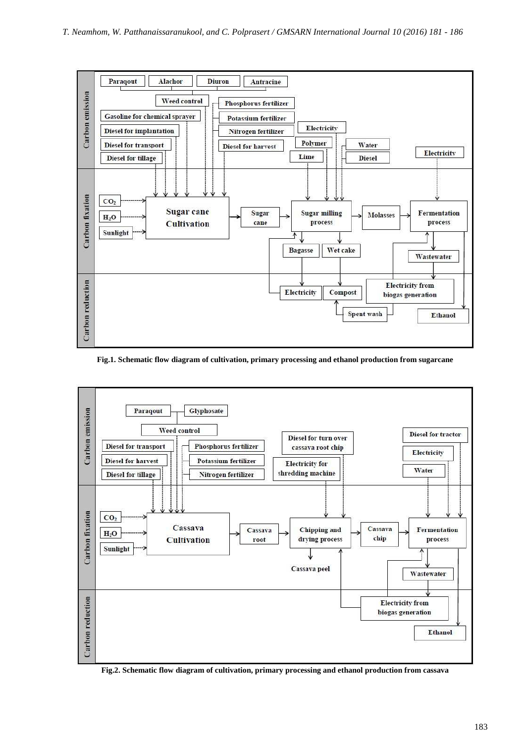

**Fig.1. Schematic flow diagram of cultivation, primary processing and ethanol production from sugarcane**



**Fig.2. Schematic flow diagram of cultivation, primary processing and ethanol production from cassava**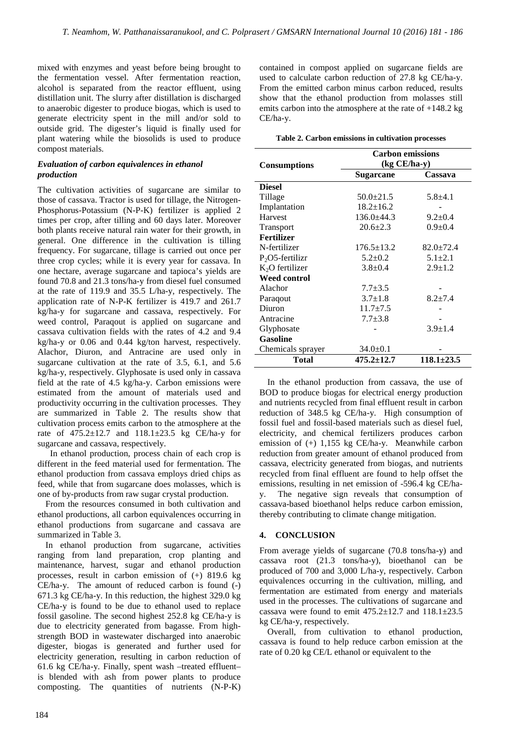mixed with enzymes and yeast before being brought to the fermentation vessel. After fermentation reaction, alcohol is separated from the reactor effluent, using distillation unit. The slurry after distillation is discharged to anaerobic digester to produce biogas, which is used to generate electricity spent in the mill and/or sold to outside grid. The digester's liquid is finally used for plant watering while the biosolids is used to produce compost materials.

## *Evaluation of carbon equivalences in ethanol production*

The cultivation activities of sugarcane are similar to those of cassava. Tractor is used for tillage, the Nitrogen-Phosphorus-Potassium (N-P-K) fertilizer is applied 2 times per crop, after tilling and 60 days later. Moreover both plants receive natural rain water for their growth, in general. One difference in the cultivation is tilling frequency. For sugarcane, tillage is carried out once per three crop cycles; while it is every year for cassava. In one hectare, average sugarcane and tapioca's yields are found 70.8 and 21.3 tons/ha-y from diesel fuel consumed at the rate of 119.9 and 35.5 L/ha-y, respectively. The application rate of N-P-K fertilizer is 419.7 and 261.7 kg/ha-y for sugarcane and cassava, respectively. For weed control, Paraqout is applied on sugarcane and cassava cultivation fields with the rates of 4.2 and 9.4 kg/ha-y or 0.06 and 0.44 kg/ton harvest, respectively. Alachor, Diuron, and Antracine are used only in sugarcane cultivation at the rate of 3.5, 6.1, and 5.6 kg/ha-y, respectively. Glyphosate is used only in cassava field at the rate of 4.5 kg/ha-y. Carbon emissions were estimated from the amount of materials used and productivity occurring in the cultivation processes. They are summarized in Table 2. The results show that cultivation process emits carbon to the atmosphere at the rate of  $475.2 \pm 12.7$  and  $118.1 \pm 23.5$  kg CE/ha-y for sugarcane and cassava, respectively.

In ethanol production, process chain of each crop is different in the feed material used for fermentation. The ethanol production from cassava employs dried chips as feed, while that from sugarcane does molasses, which is one of by-products from raw sugar crystal production.

From the resources consumed in both cultivation and ethanol productions, all carbon equivalences occurring in ethanol productions from sugarcane and cassava are summarized in Table 3.

In ethanol production from sugarcane, activities ranging from land preparation, crop planting and maintenance, harvest, sugar and ethanol production processes, result in carbon emission of (+) 819.6 kg CE/ha-y. The amount of reduced carbon is found (-) 671.3 kg CE/ha-y. In this reduction, the highest 329.0 kg CE/ha-y is found to be due to ethanol used to replace fossil gasoline. The second highest 252.8 kg CE/ha-y is due to electricity generated from bagasse. From highstrength BOD in wastewater discharged into anaerobic digester, biogas is generated and further used for electricity generation, resulting in carbon reduction of 61.6 kg CE/ha-y. Finally, spent wash –treated effluent– is blended with ash from power plants to produce composting. The quantities of nutrients (N-P-K)

contained in compost applied on sugarcane fields are used to calculate carbon reduction of 27.8 kg CE/ha-y. From the emitted carbon minus carbon reduced, results show that the ethanol production from molasses still emits carbon into the atmosphere at the rate of  $+148.2$  kg CE/ha-y.

**Table 2. Carbon emissions in cultivation processes** 

|                     | <b>Carbon emissions</b><br>$(kg CE/ha-y)$ |                  |  |  |  |
|---------------------|-------------------------------------------|------------------|--|--|--|
| <b>Consumptions</b> |                                           |                  |  |  |  |
|                     | <b>Sugarcane</b>                          | Cassava          |  |  |  |
| <b>Diesel</b>       |                                           |                  |  |  |  |
| Tillage             | $50.0 \pm 21.5$                           | $5.8 + 4.1$      |  |  |  |
| Implantation        | $18.2 \pm 16.2$                           |                  |  |  |  |
| Harvest             | $136.0 \pm 44.3$                          | $9.2 \pm 0.4$    |  |  |  |
| Transport           | $20.6 \pm 2.3$                            | $0.9 + 0.4$      |  |  |  |
| <b>Fertilizer</b>   |                                           |                  |  |  |  |
| N-fertilizer        | $176.5 \pm 13.2$                          | $82.0 \pm 72.4$  |  |  |  |
| $P2O5$ -fertilizr   | $5.2 \pm 0.2$                             | $5.1 \pm 2.1$    |  |  |  |
| $K2O$ fertilizer    | $3.8 \pm 0.4$                             | $2.9 \pm 1.2$    |  |  |  |
| Weed control        |                                           |                  |  |  |  |
| Alachor             | $7.7 + 3.5$                               |                  |  |  |  |
| Paragout            | $3.7 \pm 1.8$                             | $8.2 + 7.4$      |  |  |  |
| Diuron              | $11.7 \pm 7.5$                            |                  |  |  |  |
| Antracine           | $7.7 + 3.8$                               |                  |  |  |  |
| Glyphosate          |                                           | $3.9 \pm 1.4$    |  |  |  |
| <b>Gasoline</b>     |                                           |                  |  |  |  |
| Chemicals sprayer   | $34.0 \pm 0.1$                            |                  |  |  |  |
| Total               | $475.2 \pm 12.7$                          | $118.1 \pm 23.5$ |  |  |  |

In the ethanol production from cassava, the use of BOD to produce biogas for electrical energy production and nutrients recycled from final effluent result in carbon reduction of 348.5 kg CE/ha-y. High consumption of fossil fuel and fossil-based materials such as diesel fuel, electricity, and chemical fertilizers produces carbon emission of (+) 1,155 kg CE/ha-y. Meanwhile carbon reduction from greater amount of ethanol produced from cassava, electricity generated from biogas, and nutrients recycled from final effluent are found to help offset the emissions, resulting in net emission of -596.4 kg CE/hay. The negative sign reveals that consumption of cassava-based bioethanol helps reduce carbon emission, thereby contributing to climate change mitigation.

## **4. CONCLUSION**

From average yields of sugarcane (70.8 tons/ha-y) and cassava root (21.3 tons/ha-y), bioethanol can be produced of 700 and 3,000 L/ha-y, respectively. Carbon equivalences occurring in the cultivation, milling, and fermentation are estimated from energy and materials used in the processes. The cultivations of sugarcane and cassava were found to emit  $475.2 \pm 12.7$  and  $118.1 \pm 23.5$ kg CE/ha-y, respectively.

Overall, from cultivation to ethanol production, cassava is found to help reduce carbon emission at the rate of 0.20 kg CE/L ethanol or equivalent to the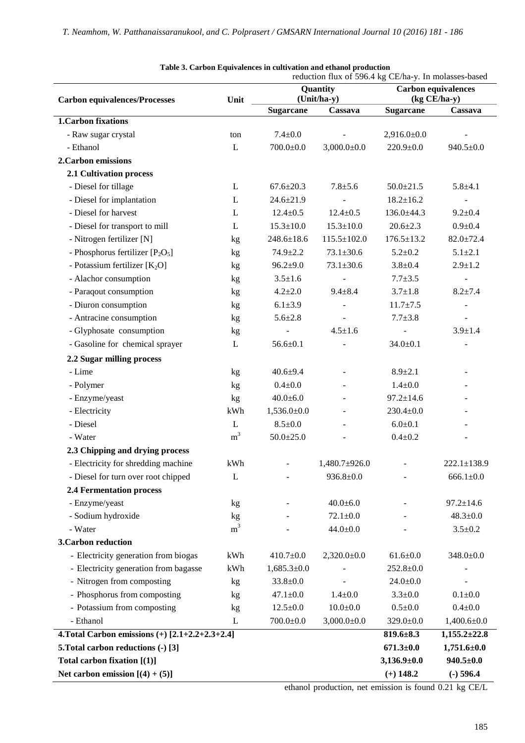|                                                                        |                      | reduction flux of 596.4 kg CE/ha-y. In molasses-based |                          |                                            |                          |  |
|------------------------------------------------------------------------|----------------------|-------------------------------------------------------|--------------------------|--------------------------------------------|--------------------------|--|
|                                                                        | Unit                 | Quantity                                              |                          | <b>Carbon equivalences</b><br>(kg CE/ha-y) |                          |  |
| <b>Carbon equivalences/Processes</b>                                   |                      | (Unit/ha-y)<br><b>Sugarcane</b><br>Cassava            |                          | <b>Sugarcane</b><br>Cassava                |                          |  |
| <b>1.Carbon fixations</b>                                              |                      |                                                       |                          |                                            |                          |  |
| - Raw sugar crystal                                                    | ton                  | $7.4 \pm 0.0$                                         |                          | $2,916.0 \pm 0.0$                          |                          |  |
| - Ethanol                                                              | L                    | $700.0 \pm 0.0$                                       | $3,000.0 \pm 0.0$        | $220.9 \pm 0.0$                            | $940.5 \pm 0.0$          |  |
| 2. Carbon emissions                                                    |                      |                                                       |                          |                                            |                          |  |
| 2.1 Cultivation process                                                |                      |                                                       |                          |                                            |                          |  |
| - Diesel for tillage                                                   | L                    | $67.6 \pm 20.3$                                       | $7.8 + 5.6$              | $50.0 \pm 21.5$                            | $5.8 + 4.1$              |  |
| - Diesel for implantation                                              | L                    | $24.6 \pm 21.9$                                       |                          | $18.2 \pm 16.2$                            | $\overline{\phantom{a}}$ |  |
| - Diesel for harvest                                                   | L                    | $12.4 \pm 0.5$                                        | $12.4 \pm 0.5$           | $136.0 \pm 44.3$                           | $9.2 \pm 0.4$            |  |
| - Diesel for transport to mill                                         | L                    | $15.3 \pm 10.0$                                       | $15.3 \pm 10.0$          | $20.6 \pm 2.3$                             | $0.9 + 0.4$              |  |
| - Nitrogen fertilizer [N]                                              | kg                   | $248.6 \pm 18.6$                                      | $115.5 \pm 102.0$        | $176.5 \pm 13.2$                           | $82.0 \pm 72.4$          |  |
| - Phosphorus fertilizer $[P_2O_5]$                                     | kg                   | $74.9 \pm 2.2$                                        | $73.1 \pm 30.6$          | $5.2 + 0.2$                                | $5.1 + 2.1$              |  |
| - Potassium fertilizer $[K_2O]$                                        | kg                   | $96.2{\pm}9.0$                                        | $73.1 \pm 30.6$          | $3.8 + 0.4$                                | $2.9 \pm 1.2$            |  |
| - Alachor consumption                                                  | kg                   | $3.5 \pm 1.6$                                         |                          | $7.7 + 3.5$                                | $\overline{\phantom{a}}$ |  |
| - Paraqout consumption                                                 | kg                   | $4.2 \pm 2.0$                                         | $9.4 \pm 8.4$            | $3.7 \pm 1.8$                              | $8.2 \pm 7.4$            |  |
| - Diuron consumption                                                   | kg                   | $6.1 \pm 3.9$                                         |                          | $11.7 \pm 7.5$                             | $\blacksquare$           |  |
| - Antracine consumption                                                | kg                   | $5.6 \pm 2.8$                                         |                          | $7.7 + 3.8$                                | $\overline{\phantom{a}}$ |  |
| - Glyphosate consumption                                               | kg                   |                                                       | $4.5 \pm 1.6$            |                                            | $3.9 \pm 1.4$            |  |
| - Gasoline for chemical sprayer                                        | L                    | $56.6 \pm 0.1$                                        |                          | $34.0 \pm 0.1$                             |                          |  |
| 2.2 Sugar milling process                                              |                      |                                                       |                          |                                            |                          |  |
| - Lime                                                                 |                      | $40.6 + 9.4$                                          | $\overline{\phantom{a}}$ | $8.9 \pm 2.1$                              | $\overline{\phantom{a}}$ |  |
|                                                                        | kg                   | $0.4 + 0.0$                                           |                          | $1.4 \pm 0.0$                              |                          |  |
| - Polymer                                                              | kg                   |                                                       |                          | $97.2 \pm 14.6$                            |                          |  |
| - Enzyme/yeast                                                         | kg                   | $40.0 \pm 6.0$                                        |                          |                                            |                          |  |
| - Electricity<br>- Diesel                                              | kWh                  | $1,536.0 \pm 0.0$<br>$8.5 \pm 0.0$                    |                          | $230.4 \pm 0.0$                            |                          |  |
| - Water                                                                | L<br>m <sup>3</sup>  |                                                       |                          | $6.0 \pm 0.1$<br>$0.4 \pm 0.2$             |                          |  |
|                                                                        |                      | $50.0 \pm 25.0$                                       |                          |                                            |                          |  |
| 2.3 Chipping and drying process<br>- Electricity for shredding machine | kWh                  |                                                       | $1,480.7 \pm 926.0$      |                                            | $222.1 \pm 138.9$        |  |
|                                                                        |                      |                                                       |                          |                                            |                          |  |
| - Diesel for turn over root chipped                                    | L                    |                                                       | $936.8 \pm 0.0$          |                                            | $666.1 \pm 0.0$          |  |
| <b>2.4 Fermentation process</b>                                        |                      |                                                       |                          |                                            |                          |  |
| - Enzyme/yeast                                                         | kg                   |                                                       | $40.0 + 6.0$             |                                            | $97.2 \pm 14.6$          |  |
| - Sodium hydroxide                                                     | kg<br>m <sup>3</sup> |                                                       | $72.1 \pm 0.0$           |                                            | $48.3 \pm 0.0$           |  |
| - Water                                                                |                      |                                                       | $44.0 \pm 0.0$           |                                            | $3.5 \pm 0.2$            |  |
| 3. Carbon reduction                                                    |                      |                                                       |                          |                                            |                          |  |
| - Electricity generation from biogas                                   | kWh                  | $410.7 \pm 0.0$                                       | $2,320.0 \pm 0.0$        | $61.6 \pm 0.0$                             | $348.0 \pm 0.0$          |  |
| - Electricity generation from bagasse                                  | kWh                  | $1,685.3 \pm 0.0$                                     |                          | $252.8 \pm 0.0$                            |                          |  |
| - Nitrogen from composting                                             | kg                   | $33.8 \pm 0.0$                                        |                          | $24.0 \pm 0.0$                             |                          |  |
| - Phosphorus from composting                                           | kg                   | $47.1 \pm 0.0$                                        | $1.4 \pm 0.0$            | $3.3 \pm 0.0$                              | $0.1 + 0.0$              |  |
| - Potassium from composting                                            | kg                   | $12.5 \pm 0.0$                                        | $10.0 + 0.0$             | $0.5 \pm 0.0$                              | $0.4 + 0.0$              |  |
| - Ethanol                                                              | L                    | $700.0 \pm 0.0$                                       | $3,000.0 \pm 0.0$        | $329.0 \pm 0.0$                            | $1,400.6 \pm 0.0$        |  |
| 4. Total Carbon emissions $(+)$ [2.1+2.2+2.3+2.4]                      | $819.6 \pm 8.3$      | $1,155.2 \pm 22.8$                                    |                          |                                            |                          |  |
| 5. Total carbon reductions (-) [3]                                     |                      |                                                       |                          | $671.3 \pm 0.0$                            | $1,751.6 \pm 0.0$        |  |
| Total carbon fixation [(1)]                                            |                      |                                                       |                          | $3,136.9\pm0.0$                            | $940.5 \pm 0.0$          |  |
| Net carbon emission $[(4) + (5)]$                                      |                      |                                                       |                          | $(+)$ 148.2                                | $(-)$ 596.4              |  |

**Table 3. Carbon Equivalences in cultivation and ethanol production** 

ethanol production, net emission is found 0.21 kg CE/L